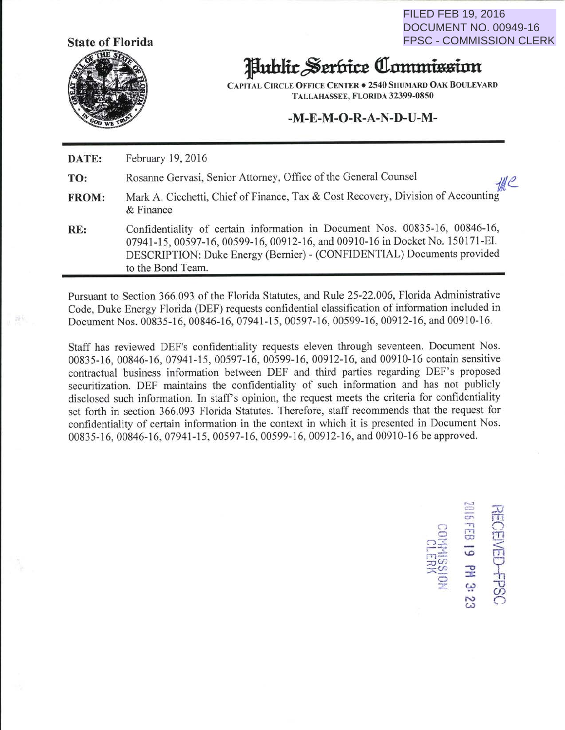**State of Florida** 



FILED FEB 19, 2016 DOCUMENT NO. 00949-16 FPSC - COMMISSION CLERK

# **1fluhlk** ~ttfliu **<lllltttlUisinn**

CAPITAL CIRCLE OFFICE CENTER . 2540 SHUMARD OAK BOULEVARD TALLAHASSEE, FLORIDA 32399-0850

#### **-M-E-M-0-R-A-N-D-U-M-**

**DATE:**  February 19,2016

**TO:**  Rosanne Gervasi, Senior Attorney, Office of the General Counsel *f/ll<sup>2</sup>* 

 $\sim$  $\blacksquare$ <sup>n</sup>....., 0 f"T1 m  $\circ$   $\circ$ 

> $\frac{3}{2}$   $\frac{4}{2}$  $\mathbb{S}^{\infty}$  c.

19 PM 3: ;"Tl:::: \..0 <sup>m</sup>

 $\Xi^{\mathrm{ss}}_{\mathrm{ss}}$  -  $\Xi$  $=$   $\pm$ 

n: 1 ---

 $\mathcal{D}$ 

 $\frac{1}{2}$ 

- **FROM:**  Mark A. Cicchetti, Chief of Finance, Tax & Cost Recovery, Division of Accounting & Finance
- RE: Confidentiality of certain information in Document Nos. 00835-16, 00846-16, 07941-15,00597-16,00599-16,00912-16, and 00910-16 in Docket No. 150171-EI. DESCRIPTION: Duke Energy (Bernier)- (CONFIDENTIAL) Documents provided to the Bond Team.

Pursuant to Section 366.093 of the Florida Statutes, and Rule 25-22.006, Florida Administrative Code, Duke Energy Florida (DEF) requests confidential classification of information included in Document Nos. 00835-16,00846-16, 07941-15,00597-16, 00599-16,00912-16, and 00910-16.

Staff has reviewed DEF's confidentiality requests eleven through seventeen. Document Nos. 00835-16,00846-16, 07941-15, 00597-16,00599-16,00912-16, and 00910-16 contain sensitive contractual business information between DEF and third parties regarding DEF's proposed securitization. DEF maintains the confidentiality of such information and has not publicly disclosed such information. In staff's opinion, the request meets the criteria for confidentiality set forth in section 366.093 Florida Statutes. Therefore, staff recommends that the request for confidentiality of certain information in the context in which it is presented in Document Nos. 00835-16, 00846-16, 07941-15, 00597-16, 00599-16, 00912-16, and 00910-16 be approved.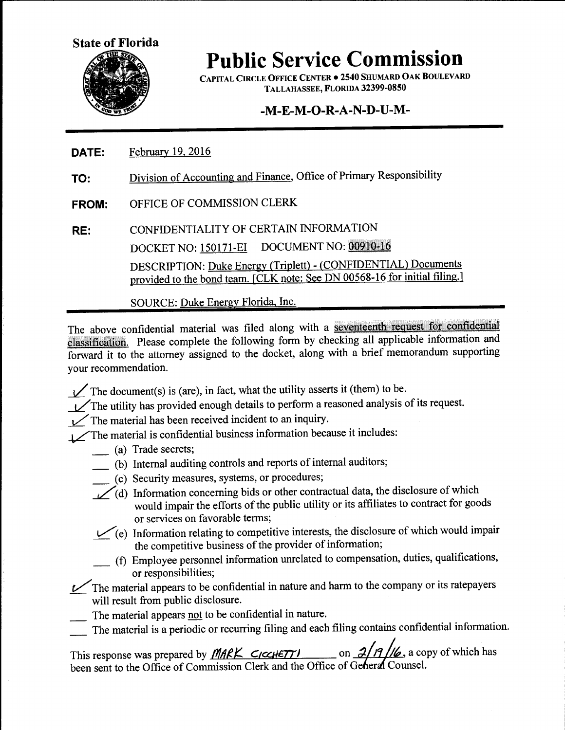

CAPITAL CIRCLE OFFICE CENTER • 2540 SHUMARD OAK BOULEVARD TALLAHASSEE, FLORIDA 32399-0850

# -M-E-M-O-R-A-N-D-U-M-

- **DATE:**  February 19. 2016
- **TO:**  Division of Accounting and Finance, Office of Primary Responsibility
- **FROM:**  OFFICE OF COMMISSION CLERK
- **RE:**  CONFIDENTIALITY OF CERTAIN INFORMATION DOCKET NO: 150171-EI DOCUMENT NO: 00910-16 DESCRIPTION: Duke Energy (Triplett)- (CONFIDENTIAL) Documents provided to the bond team. [CLK note: See DN 00568-16 for initial filing.]

SOURCE: Duke Energy Florida, Inc.

The above confidential material was filed along with a seventeenth request for confidential classification. Please complete the following form by checking all applicable information and forward it to the attorney assigned to the docket, along with a brief memorandum supporting your recommendation.

- $\angle$  The document(s) is (are), in fact, what the utility asserts it (them) to be.
- $\vee$ The utility has provided enough details to perform a reasoned analysis of its request.
- $\mathcal{V}$  The material has been received incident to an inquiry.

The material is confidential business information because it includes:

- \_ (a) Trade secrets;
- \_ (b) Internal auditing controls and reports of internal auditors;
	- \_ (c) Security measures, systems, or procedures;
- $L$  d) Information concerning bids or other contractual data, the disclosure of which would impair the efforts of the public utility or its affiliates to contract for goods or services on favorable terms;
- $V(e)$  Information relating to competitive interests, the disclosure of which would impair the competitive business of the provider of information;
- \_ (f) Employee personnel information unrelated to compensation, duties, qualifications, or responsibilities;
- The material appears to be confidential in nature and harm to the company or its ratepayers will result from public disclosure.
- The material appears not to be confidential in nature.
- The material is a periodic or recurring filing and each filing contains confidential information.

This response was prepared by *MARK CICCHETT* on 2/19/16, a copy of which has been sent to the Office of Commission Clerk and the Office of General Counsel.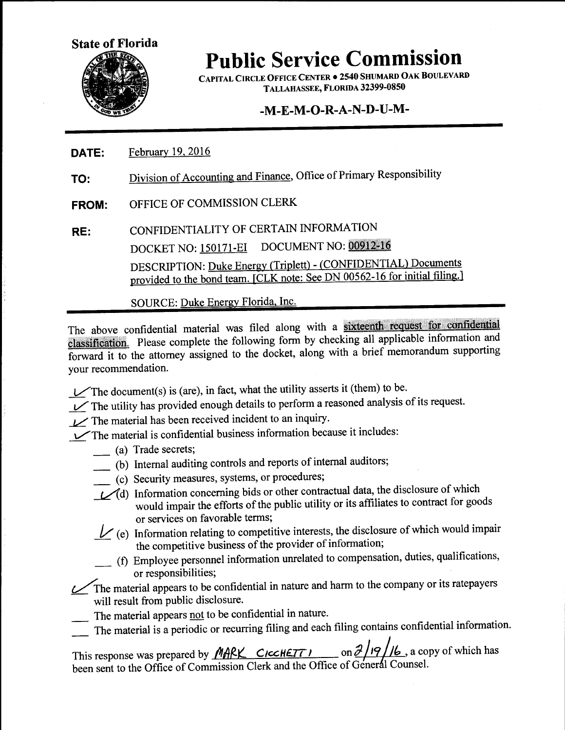

CAPITAL CIRCLE OFFICE CENTER • 2540 SHUMARD OAK BOULEVARD TALLAHASSEE, FLORIDA 32399-0850

## **-M-E-M-0-R-A-N-D-U-M-**

- **DATE:**  February 19,2016
- **TO:**  Division of Accounting and Finance, Office of Primary Responsibility
- **FROM:**  OFFICE OF COMMISSION CLERK
- **RE:**  CONFIDENTIALITY OF CERTAIN INFORMATION DOCKET NO: 150171-EI DOCUMENT NO: 00912-16 DESCRIPTION: Duke Energy (Triplett)- (CONFIDENTIAL) Documents provided to the bond team. [CLK note: See DN 00562-16 for initial filing.]

SOURCE: Duke Energy Florida, Inc.

The above confidential material was filed along with a sixteenth request for confidential classification. Please complete the following form by checking all applicable information and forward it to the attorney assigned to the docket, along with a brief memorandum supporting your recommendation.

- $\vee$ The document(s) is (are), in fact, what the utility asserts it (them) to be.
- The utility has provided enough details to perform a reasoned analysis of its request.
- The material has been received incident to an inquiry.

V'The material is confidential business information because it includes:

- \_ (a) Trade secrets;
- \_ (b) Internal auditing controls and reports of internal auditors;
- \_ (c) Security measures, systems, or procedures;
- (d) Information concerning bids or other contractual data, the disclosure of which would impair the efforts of the public utility or its affiliates to contract for goods or services on favorable terms;
- $\mathcal{V}$  (e) Information relating to competitive interests, the disclosure of which would impair the competitive business of the provider of information;
- \_ (f) Employee personnel information unrelated to compensation, duties, qualifications, or responsibilities;

The material appears to be confidential in nature and harm to the company or its ratepayers will result from public disclosure.

- The material appears not to be confidential in nature.
- The material is a periodic or recurring filing and each filing contains confidential information.

This response was prepared by *MARK* CICCHETT on  $\frac{\partial f}{\partial \theta}$ , a copy of which has been sent to the Office of Commission Clerk and the Office of General Counsel.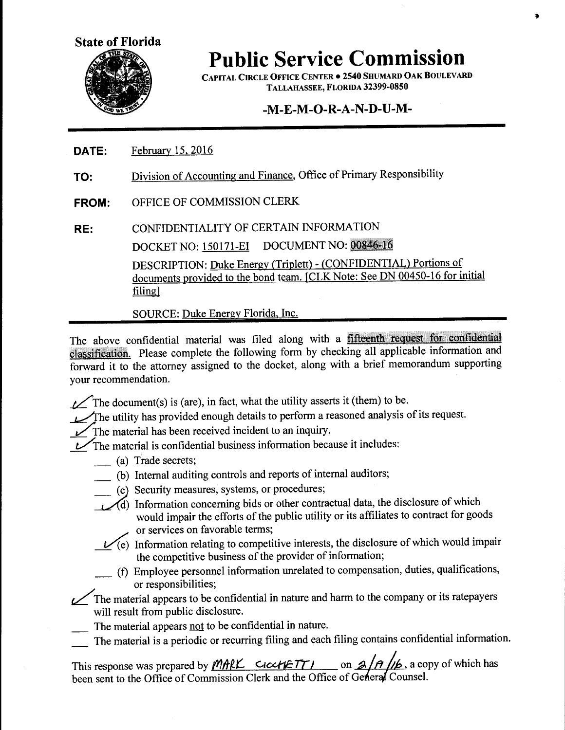

CAPITAL CIRCLE OFFICE CENTER . 2540 SHUMARD OAK BOULEVARD TALLAHASSEE, FLORIDA 32399-0850

#### **-M-E-M-0-R-A-N-D-U-M-**

- **DATE:**  February 15, 2016
- **TO:**  Division of Accounting and Finance, Office of Primary Responsibility
- **FROM:**  OFFICE OF COMMISSION CLERK
- **RE:**  CONFIDENTIALITY OF CERTAIN INFORMATION DOCKET NO: 150171-EI DOCUMENT NO: 00846-16 DESCRIPTION: Duke Energy {Triplett)- (CONFIDENTIAL) Portions of documents provided to the bond team. [CLK Note: See DN 00450-16 for initial filing]

SOURCE: Duke Energy Florida, Inc.

The above confidential material was filed along with a fifteenth request for confidential classification. Please complete the following form by checking all applicable information and forward it to the attorney assigned to the docket, along with a brief memorandum supporting your recommendation.

 $t$  The document(s) is (are), in fact, what the utility asserts it (them) to be.

The utility has provided enough details to perform a reasoned analysis of its request.

The material has been received incident to an inquiry.

 $\mathcal{V}$ The material is confidential business information because it includes:

- \_ (a) Trade secrets;
- \_ (b) Internal auditing controls and reports of internal auditors;
- \_ (c) Security measures, systems, or procedures;
- ~) Information concerning bids or other contractual data, the disclosure of which would impair the efforts of the public utility or its affiliates to contract for goods or services on favorable terms;
	- $\mathcal{U}(e)$  Information relating to competitive interests, the disclosure of which would impair the competitive business of the provider of information;
	- \_ (f) Employee personnel information unrelated to compensation, duties, qualifications, or responsibilities;

The material appears to be confidential in nature and harm to the company or its ratepayers will result from public disclosure.

- The material appears not to be confidential in nature.
- The material is a periodic or recurring filing and each filing contains confidential information.

This response was prepared by  $M$ ARK CICCHETTJ on  $A/A$ , a copy of which has been sent to the Office of Commission Clerk and the Office of General Counsel.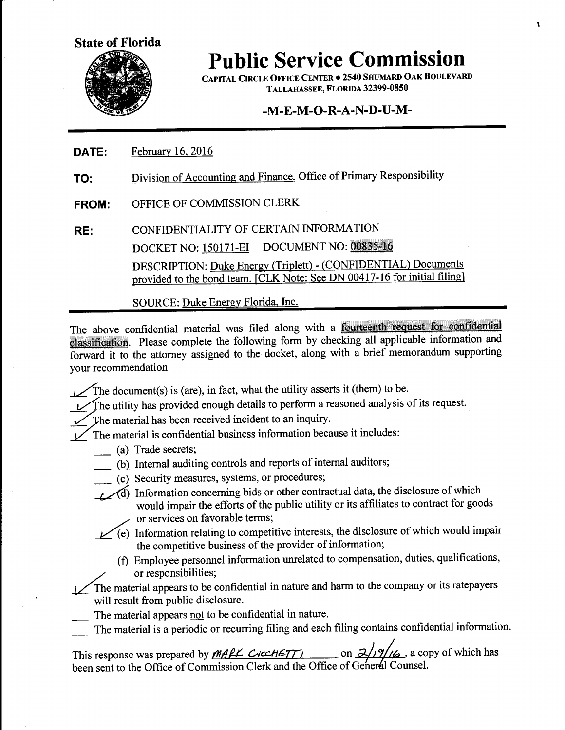

CAPITAL CIRCLE OFFICE CENTER • 2540 SHUMARD OAK BOULEVARD TALLAHASSEE, FLORIDA 32399-0850

#### -M-E-M-O-R-A-N-D-U-M-

- **DATE:**  February 16, 2016
- **TO:**  Division of Accounting and Finance, Office of Primary Responsibility
- **FROM:**  OFFICE OF COMMISSION CLERK
- **RE:**  CONFIDENTIALITY OF CERTAIN INFORMATION DOCKET NO: 150171-EI DOCUMENT NO: 00835-16 DESCRIPTION: Duke Energy (Triplett)- (CONFIDENTIAL) Documents provided to the bond team. [CLK Note: See DN 00417-16 for initial filing]

SOURCE: Duke Energy Florida, Inc.

The above confidential material was filed along with a fourteenth request for confidential classification. Please complete the following form by checking all applicable information and forward it to the attorney assigned to the docket, along with a brief memorandum supporting your recommendation.

- $\mathcal{L}$  The document(s) is (are), in fact, what the utility asserts it (them) to be.
- The utility has provided enough details to perform a reasoned analysis of its request.
- The material has been received incident to an inquiry.

 $\angle$  The material is confidential business information because it includes:

- \_ (a) Trade secrets;
- \_ (b) Internal auditing controls and reports of internal auditors;
	- \_ (c) Security measures, systems, or procedures;
- <sup>1</sup> Information concerning bids or other contractual data, the disclosure of which would impair the efforts of the public utility or its affiliates to contract for goods or services on favorable terms;
- *\_v\_* (e)) Information relating to competitive interests, the disclosure of which would impair the competitive business of the provider of information;
	- \_ (f) Employee personnel information unrelated to compensation, duties, qualifications, or responsibilities;

The material appears to be confidential in nature and harm to the company or its ratepayers will result from public disclosure.

- The material appears not to be confidential in nature.
- The material is a periodic or recurring filing and each filing contains confidential information.

This response was prepared by *MARK CICCHGTT* 6. **6:19/16**, a copy of which has been sent to the Office of Commission Clerk and the Office of General Counsel.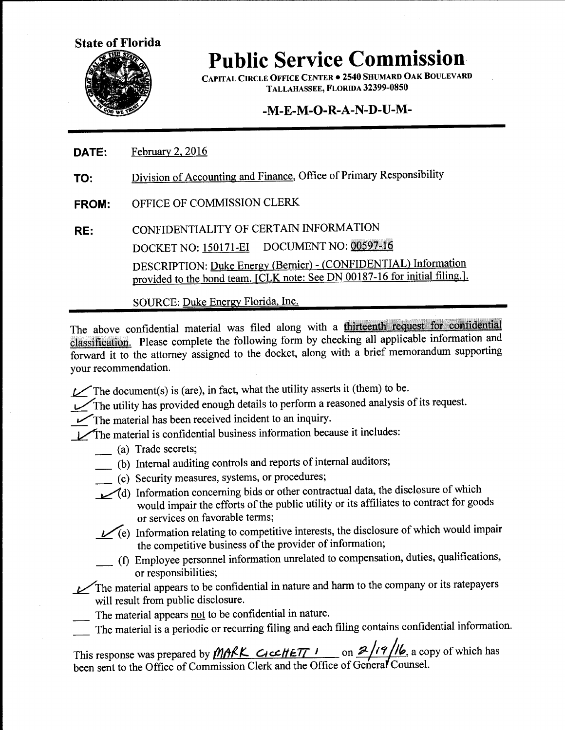

CAPITAL CIRCLE OFFICE CENTER • 2540 SHUMARD OAK BOULEVARD TALLAHASSEE, FLORIDA 32399-0850

#### $-M-E-M-O-R-A-N-D-U-M-$

- **DATE:**  February 2, 2016
- **TO:**  Division of Accounting and Finance, Office of Primary Responsibility
- **FROM:**  OFFICE OF COMMISSION CLERK
- **RE:**  CONFIDENTIALITY OF CERTAIN INFORMATION DOCKET NO: 150171-EI DOCUMENT NO: 00597-16 DESCRIPTION: Duke Energy (Bernier)- (CONFIDENTIAL) Information provided to the bond team. [CLK note: See DN 00187-16 for initial filing.].

SOURCE: Duke Energy Florida, Inc.

The above confidential material was filed along with a *thirteenth request for confidential* classification. Please complete the following form by checking all applicable information and forward it to the attorney assigned to the docket, along with a brief memorandum supporting your recommendation.

 $\angle$  The document(s) is (are), in fact, what the utility asserts it (them) to be.

The utility has provided enough details to perform a reasoned analysis of its request.

The material has been received incident to an inquiry.

The material is confidential business information because it includes:

- \_ (a) Trade secrets;
- \_ (b) Internal auditing controls and reports of internal auditors;
- \_ (c) Security measures, systems, or procedures;
- ~d) Information concerning bids or other contractual data, the disclosure of which would impair the efforts of the public utility or its affiliates to contract for goods or services on favorable terms;
- $L$ <sup>(e)</sup> Information relating to competitive interests, the disclosure of which would impair the competitive business of the provider of information;
- \_ (f) Employee personnel information unrelated to compensation, duties, qualifications, or responsibilities;

 $\mathcal{L}$  The material appears to be confidential in nature and harm to the company or its ratepayers will result from public disclosure.

- The material appears not to be confidential in nature.
- \_ The material is a periodic or recurring filing and each filing contains confidential information.

This response was prepared by  $MAKC$  *Clcc HETT 1* on  $2/19/16$ , a copy of which has been sent to the Office of Commission Clerk and the Office of General Counsel.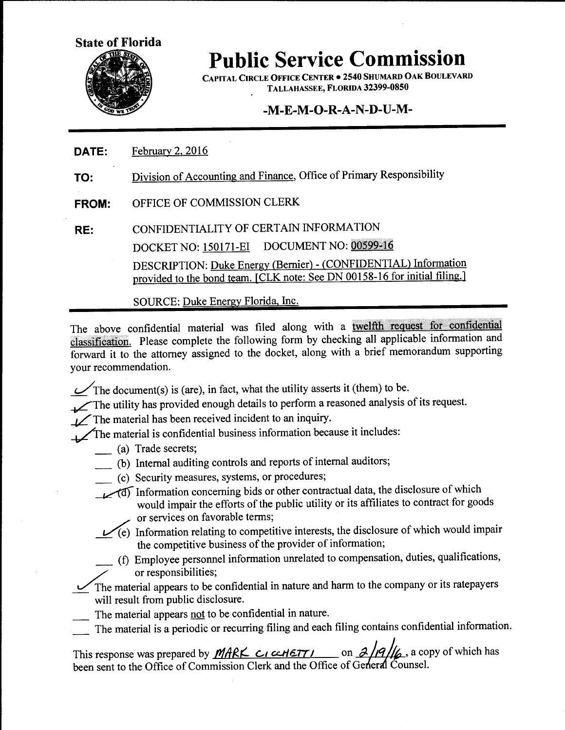

CAPITAL CIRCLE OFFICE CENTER • 2540 SHUMARD OAK BOULEVARD TALLAHASSEE, FLORIDA 32399-0850

# **-M-E-M-0-R-A-N-D-U-M-**

- **DATE:**  February 2, 2016
- **TO:**  Division of Accounting and Finance, Office of Primary Responsibility
- **FROM:**  OFFICE OF COMMISSION CLERK
- **RE:**  CONFIDENTIALITY OF CERTAIN INFORMATION DOCKET NO: 150171-EI DOCUMENT NO: 00599-16 DESCRIPTION: Duke Energy (Bernier)- (CONFIDENTIAL) Information provided to the bond team. [CLK note: See DN 00158-16 for initial filing.]

SOURCE: Duke Energy Florida, Inc.

The above confidential material was filed along with a twelfth request for confidential classification. Please complete the following form by checking all applicable information and forward it to the attorney assigned to the docket, along with a brief memorandum supporting your recommendation.

 $\mathcal{L}$ The document(s) is (are), in fact, what the utility asserts it (them) to be.

The utility has provided enough details to perform a reasoned analysis of its request.

 $\angle$ The material has been received incident to an inquiry.

The material is confidential business information because it includes:

- \_ (a) Trade secrets;
- \_ (b) Internal auditing controls and reports of internal auditors;
	- \_ (c) Security measures, systems, or procedures;
- <sup>1</sup> Information concerning bids or other contractual data, the disclosure of which would impair the efforts of the public utility or its affiliates to contract for goods or services on favorable terms;
- ~ Information relating to competitive interests, the disclosure of which would impair the competitive business of the provider of information;
	- \_ (f) Employee personnel information unrelated to compensation, duties, qualifications, or responsibilities;

The material appears to be confidential in nature and harm to the company or its ratepayers will result from public disclosure.

- The material appears not to be confidential in nature.
- The material is a periodic or recurring filing and each filing contains confidential information.

This response was prepared by *MARK CI ccHETTI* on  $\frac{\partial}{\partial}$  /9/6. a copy of which has been sent to the Office of Commission Clerk and the Office of General Counsel.